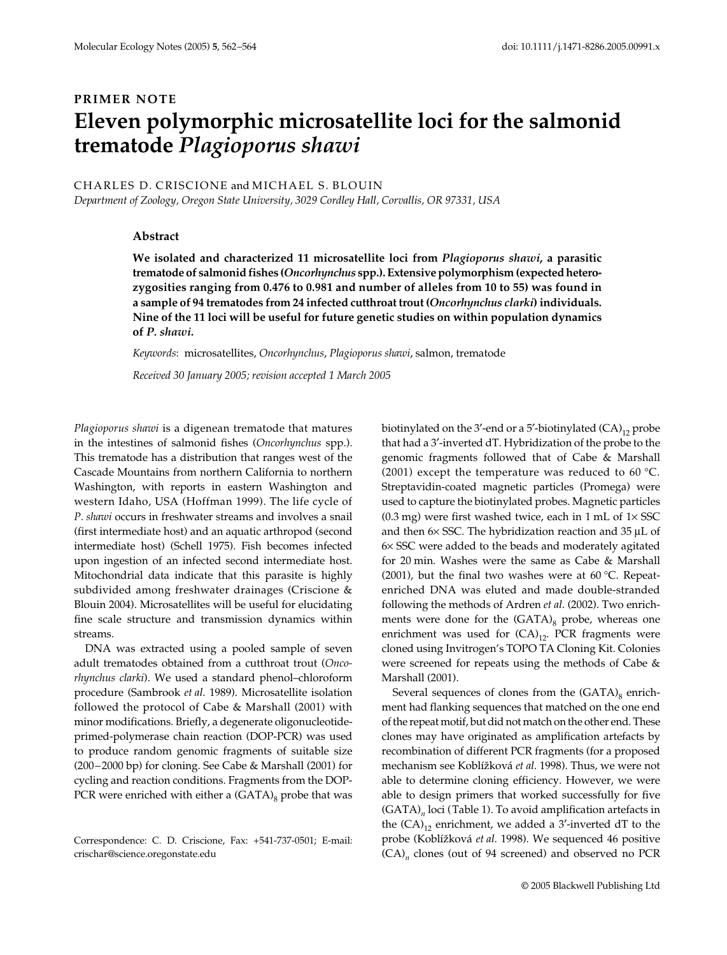# **PRIMER NOTE Eleven polymorphic microsatellite loci for the salmonid trematode** *Plagioporus shawi*

## CHARLES D. CRISCIONE and MICHAEL S. BLOUIN

*Department of Zoology, Oregon State University, 3029 Cordley Hall, Corvallis, OR 97331, USA*

### **Abstract**

**We isolated and characterized 11 microsatellite loci from** *Plagioporus shawi***, a parasitic trematode of salmonid fishes (***Oncorhynchus* **spp.). Extensive polymorphism (expected heterozygosities ranging from 0.476 to 0.981 and number of alleles from 10 to 55) was found in a sample of 94 trematodes from 24 infected cutthroat trout (***Oncorhynchus clarki***) individuals. Nine of the 11 loci will be useful for future genetic studies on within population dynamics of** *P. shawi***.**

*Keywords*: microsatellites, *Oncorhynchus*, *Plagioporus shawi*, salmon, trematode

*Received 30 January 2005; revision accepted 1 March 2005*

*Plagioporus shawi* is a digenean trematode that matures in the intestines of salmonid fishes (*Oncorhynchus* spp.). This trematode has a distribution that ranges west of the Cascade Mountains from northern California to northern Washington, with reports in eastern Washington and western Idaho, USA (Hoffman 1999). The life cycle of *P. shawi* occurs in freshwater streams and involves a snail (first intermediate host) and an aquatic arthropod (second intermediate host) (Schell 1975). Fish becomes infected upon ingestion of an infected second intermediate host. Mitochondrial data indicate that this parasite is highly subdivided among freshwater drainages (Criscione & Blouin 2004). Microsatellites will be useful for elucidating fine scale structure and transmission dynamics within streams.

DNA was extracted using a pooled sample of seven adult trematodes obtained from a cutthroat trout (*Oncorhynchus clarki*). We used a standard phenol–chloroform procedure (Sambrook *et al*. 1989). Microsatellite isolation followed the protocol of Cabe & Marshall (2001) with minor modifications. Briefly, a degenerate oligonucleotideprimed-polymerase chain reaction (DOP-PCR) was used to produce random genomic fragments of suitable size (200–2000 bp) for cloning. See Cabe & Marshall (2001) for cycling and reaction conditions. Fragments from the DOP-PCR were enriched with either a  $(GATA)_{8}$  probe that was

Correspondence: C. D. Criscione, Fax: +541-737-0501; E-mail: crischar@science.oregonstate.edu

biotinylated on the 3'-end or a 5'-biotinylated  $(CA)_{12}$  probe that had a 3′-inverted dT. Hybridization of the probe to the genomic fragments followed that of Cabe & Marshall (2001) except the temperature was reduced to 60 °C. Streptavidin-coated magnetic particles (Promega) were used to capture the biotinylated probes. Magnetic particles (0.3 mg) were first washed twice, each in 1 mL of  $1 \times SSC$ and then 6× SSC. The hybridization reaction and 35 µL of 6× SSC were added to the beads and moderately agitated for 20 min. Washes were the same as Cabe & Marshall (2001), but the final two washes were at 60 °C. Repeatenriched DNA was eluted and made double-stranded following the methods of Ardren *et al*. (2002). Two enrichments were done for the  $(GATA)_{8}$  probe, whereas one enrichment was used for  $(CA)_{12}$ . PCR fragments were cloned using Invitrogen's TOPO TA Cloning Kit. Colonies were screened for repeats using the methods of Cabe & Marshall (2001).

Several sequences of clones from the  $(GATA)_{8}$  enrichment had flanking sequences that matched on the one end of the repeat motif, but did not match on the other end. These clones may have originated as amplification artefacts by recombination of different PCR fragments (for a proposed mechanism see Koblí*6*ková *et al*. 1998). Thus, we were not able to determine cloning efficiency. However, we were able to design primers that worked successfully for five (GATA)*<sup>n</sup>* loci (Table 1). To avoid amplification artefacts in the  $(CA)_{12}$  enrichment, we added a 3'-inverted dT to the probe (Koblížková et al. 1998). We sequenced 46 positive (CA)*<sup>n</sup>* clones (out of 94 screened) and observed no PCR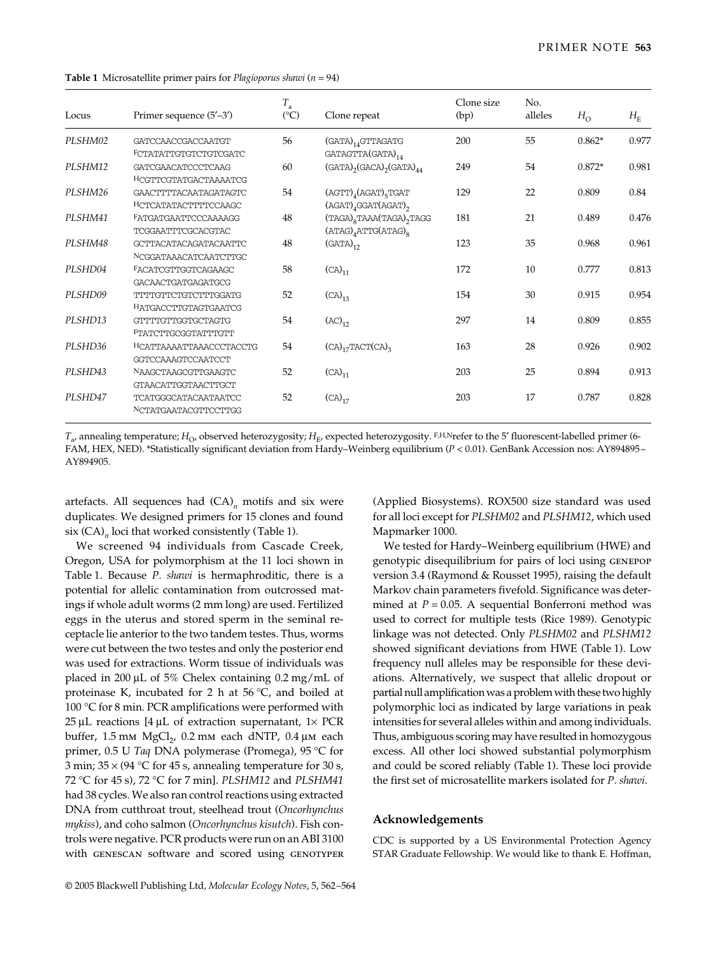| Locus   | Primer sequence (5'-3')                                                     | $T_{\rm a}$<br>$(^{\circ}C)$ | Clone repeat                                                                                       | Clone size<br>(bp) | No.<br>alleles | $H_{\rm O}$ | $H_{\rm E}$ |
|---------|-----------------------------------------------------------------------------|------------------------------|----------------------------------------------------------------------------------------------------|--------------------|----------------|-------------|-------------|
| PLSHM02 | <b>GATCCAACCGACCAATGT</b>                                                   | 56                           | $(GATA)_{14}$ GTTAGATG                                                                             | 200                | 55             | $0.862*$    | 0.977       |
| PLSHM12 | FCTATATTGTGTCTGTCGATC<br><b>GATCGAACATCCCTCAAG</b><br>HCGTTCGTATGACTAAAATCG | 60                           | GATAGTTA(GATA) <sub>14</sub><br>$(GATA)$ <sub>2</sub> $(GACA)$ <sub>2</sub> $(GATA)$ <sub>44</sub> | 249                | 54             | $0.872*$    | 0.981       |
| PLSHM26 | GAACTTTTACAATAGATAGTC<br>HCTCATATACTTTTCCAAGC                               | 54                           | $(AGTT)_{4}(AGAT)_{5}TGAT$<br>$(AGAT)$ <sub>4</sub> GGAT $(AGAT)$ <sub>2</sub>                     | 129                | 22             | 0.809       | 0.84        |
| PLSHM41 | FATGATGAATTCCCAAAAGG<br>TCGGAATTTCGCACGTAC                                  | 48                           | $(TAGA)_{8}TAAA(TAGA)_{2}TAGG$<br>$(ATAG)4ATTG(ATAG)8$                                             | 181                | 21             | 0.489       | 0.476       |
| PLSHM48 | GCTTACATACAGATACAATTC<br>NCGGATAAACATCAATCTTGC                              | 48                           | $(GATA)_{12}$                                                                                      | 123                | 35             | 0.968       | 0.961       |
| PLSHD04 | FACATCGTTGGTCAGAAGC<br><b>GACAACTGATGAGATGCG</b>                            | 58                           | $(CA)_{11}$                                                                                        | 172                | 10             | 0.777       | 0.813       |
| PLSHD09 | TTTTGTTCTGTCTTTGGATG<br>HATGACCTTGTAGTGAATCG                                | 52                           | $(CA)_{13}$                                                                                        | 154                | 30             | 0.915       | 0.954       |
| PLSHD13 | GTTTTGTTGGTGCTAGTG<br>FTATCTTGCGGTATTTGTT                                   | 54                           | $(AC)_{12}$                                                                                        | 297                | 14             | 0.809       | 0.855       |
| PLSHD36 | HCATTAAAATTAAACCCTACCTG<br>GGTCCAAAGTCCAATCCT                               | 54                           | $(CA)_{17}TACT(CA)_{3}$                                                                            | 163                | 28             | 0.926       | 0.902       |
| PLSHD43 | NAAGCTAAGCGTTGAAGTC<br><b>GTAACATTGGTAACTTGCT</b>                           | 52                           | $(CA)_{11}$                                                                                        | 203                | 25             | 0.894       | 0.913       |
| PLSHD47 | <b>TCATGGGCATACAATAATCC</b><br>NCTATGAATACGTTCCTTGG                         | 52                           | $(CA)_{17}$                                                                                        | 203                | 17             | 0.787       | 0.828       |

**Table 1** Microsatellite primer pairs for *Plagioporus shawi* (*n* = 94)

 $T_{a}$ , annealing temperature;  $H_{\text{O}}$ , observed heterozygosity;  $H_{\text{E}}$ , expected heterozygosity. F,H,Nrefer to the 5' fluorescent-labelled primer (6-FAM, HEX, NED). \*Statistically significant deviation from Hardy–Weinberg equilibrium (*P <* 0.01). GenBank Accession nos: AY894895– AY894905.

artefacts. All sequences had  $(CA)_n$  motifs and six were duplicates. We designed primers for 15 clones and found six (CA)<sub>n</sub> loci that worked consistently (Table 1).

We screened 94 individuals from Cascade Creek, Oregon, USA for polymorphism at the 11 loci shown in Table 1. Because *P. shawi* is hermaphroditic, there is a potential for allelic contamination from outcrossed matings if whole adult worms (2 mm long) are used. Fertilized eggs in the uterus and stored sperm in the seminal receptacle lie anterior to the two tandem testes. Thus, worms were cut between the two testes and only the posterior end was used for extractions. Worm tissue of individuals was placed in 200 µL of 5% Chelex containing 0.2 mg/mL of proteinase K, incubated for 2 h at 56 °C, and boiled at 100 °C for 8 min. PCR amplifications were performed with  $25 \mu L$  reactions [4  $\mu L$  of extraction supernatant, 1 $\times$  PCR buffer,  $1.5 \text{ mm } \text{MgCl}_2$ ,  $0.2 \text{ mm }$  each dNTP,  $0.4 \mu \text{m }$  each primer, 0.5 U *Taq* DNA polymerase (Promega), 95 °C for 3 min;  $35 \times (94 \degree C)$  for 45 s, annealing temperature for 30 s, 72 °C for 45 s), 72 °C for 7 min]. *PLSHM12* and *PLSHM41* had 38 cycles. We also ran control reactions using extracted DNA from cutthroat trout, steelhead trout (*Oncorhynchus mykiss*), and coho salmon (*Oncorhynchus kisutch*). Fish controls were negative. PCR products were run on an ABI 3100 with GENESCAN software and scored using GENOTYPER (Applied Biosystems). ROX500 size standard was used for all loci except for *PLSHM02* and *PLSHM12*, which used Mapmarker 1000.

We tested for Hardy–Weinberg equilibrium (HWE) and genotypic disequilibrium for pairs of loci using genepop version 3.4 (Raymond & Rousset 1995), raising the default Markov chain parameters fivefold. Significance was determined at  $P = 0.05$ . A sequential Bonferroni method was used to correct for multiple tests (Rice 1989). Genotypic linkage was not detected. Only *PLSHM02* and *PLSHM12* showed significant deviations from HWE (Table 1). Low frequency null alleles may be responsible for these deviations. Alternatively, we suspect that allelic dropout or partial null amplification was a problem with these two highly polymorphic loci as indicated by large variations in peak intensities for several alleles within and among individuals. Thus, ambiguous scoring may have resulted in homozygous excess. All other loci showed substantial polymorphism and could be scored reliably (Table 1). These loci provide the first set of microsatellite markers isolated for *P. shawi*.

#### **Acknowledgements**

CDC is supported by a US Environmental Protection Agency STAR Graduate Fellowship. We would like to thank E. Hoffman,